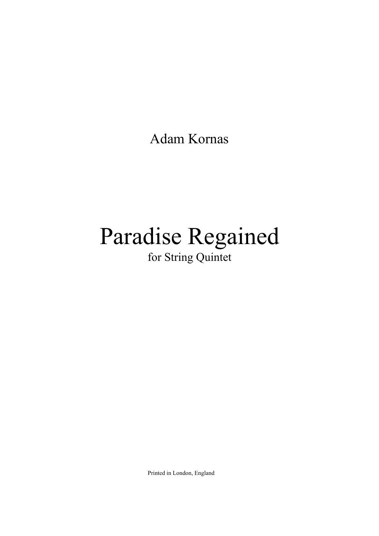Adam Kornas

## Paradise Regained for String Quintet

Printed in London, England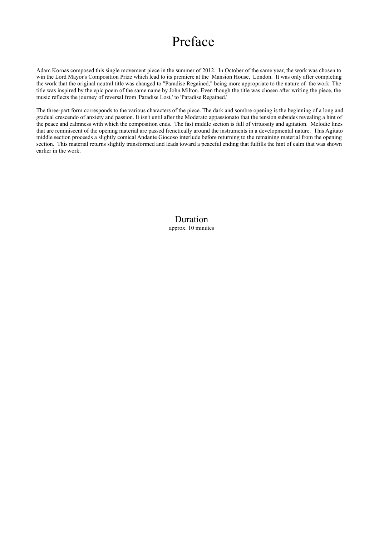## Preface

Adam Kornas composed this single movement piece in the summer of 2012. In October of the same year, the work was chosen to win the Lord Mayor's Composition Prize which lead to its premiere at the Mansion House, London. It was only after completing the work that the original neutral title was changed to "Paradise Regained," being more appropriate to the nature of the work. The title was inspired by the epic poem of the same name by John Milton. Even though the title was chosen after writing the piece, the music reflects the journey of reversal from 'Paradise Lost,' to 'Paradise Regained.'

The three-part form corresponds to the various characters of the piece. The dark and sombre opening is the beginning of a long and gradual crescendo of anxiety and passion. It isn't until after the Moderato appassionato that the tension subsides revealing a hint of the peace and calmness with which the composition ends. The fast middle section is full of virtuosity and agitation. Melodic lines that are reminiscent of the opening material are passed frenetically around the instruments in a developmental nature. This Agitato middle section proceeds a slightly comical Andante Giocoso interlude before returning to the remaining material from the opening section. This material returns slightly transformed and leads toward a peaceful ending that fulfills the hint of calm that was shown earlier in the work.

> Duration approx. 10 minutes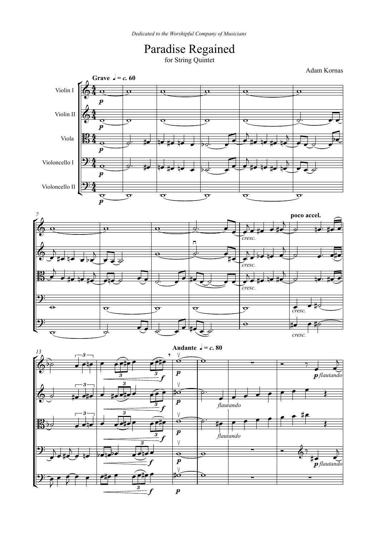

Adam Kornas

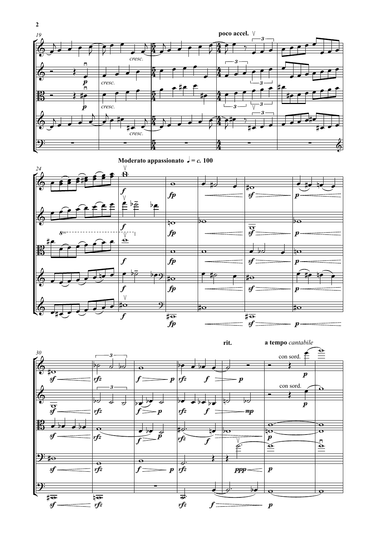





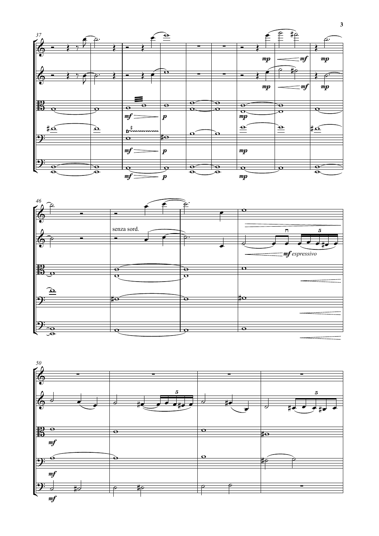



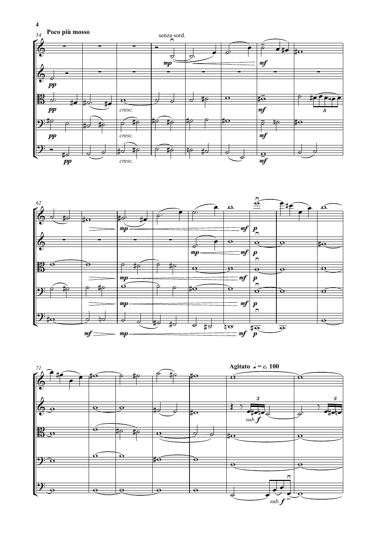



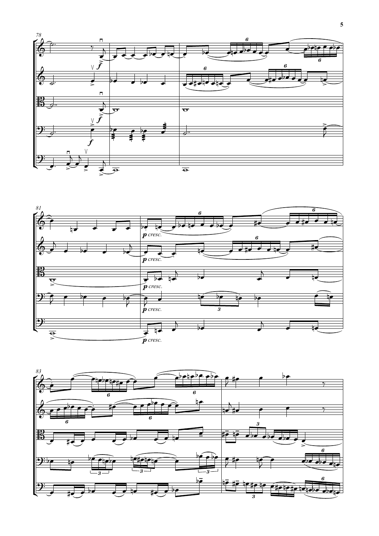



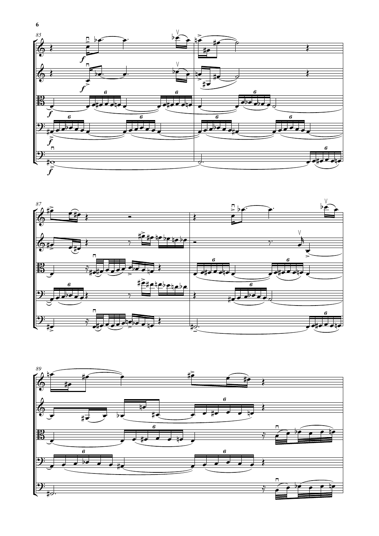



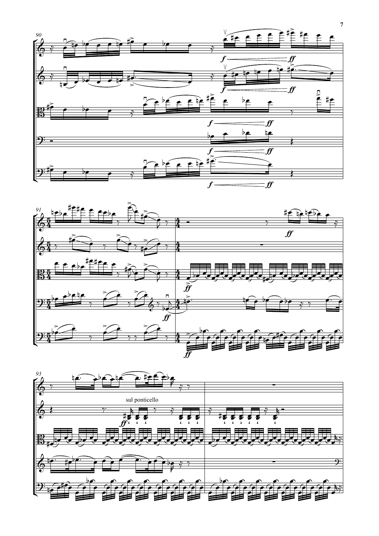



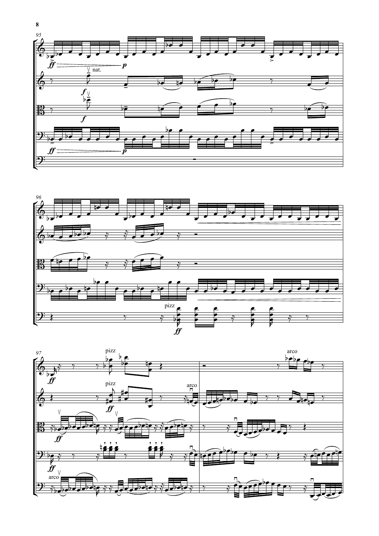



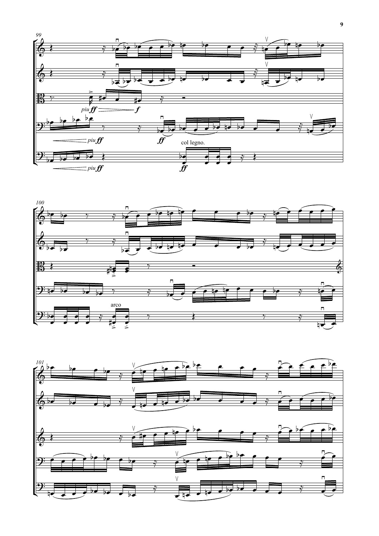



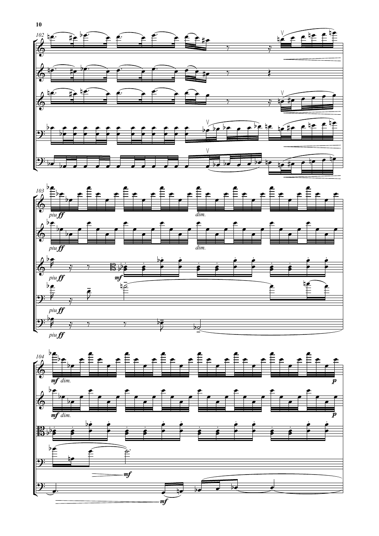



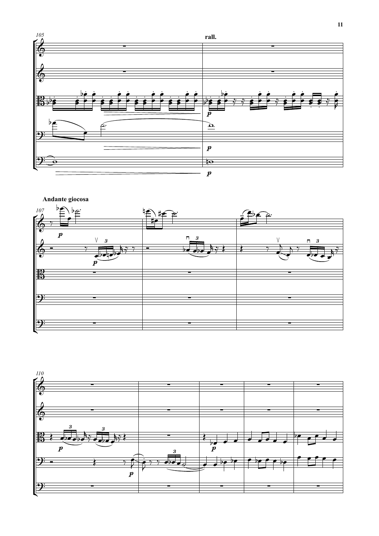



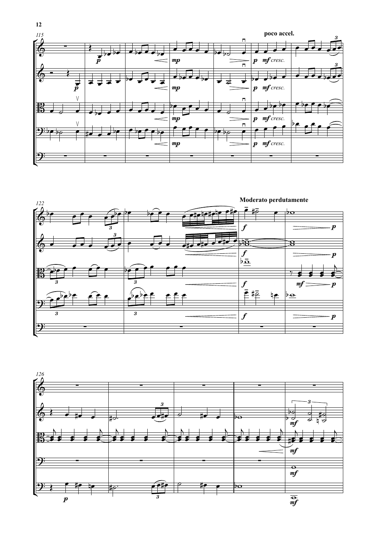



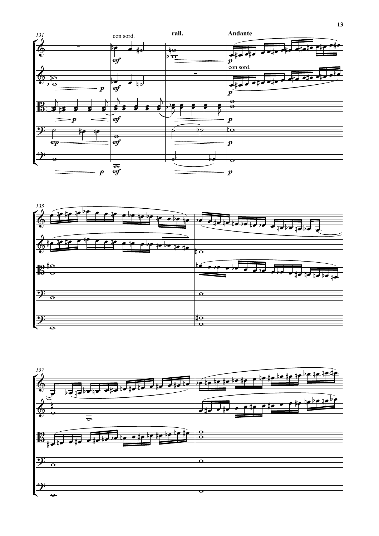



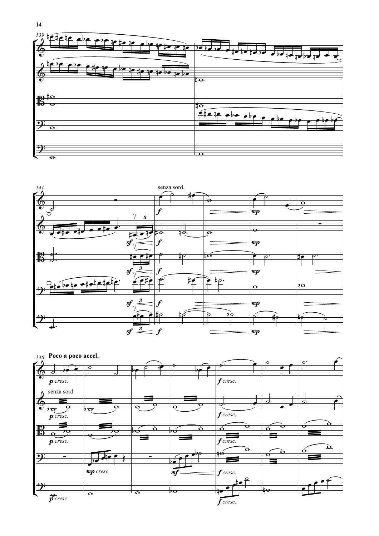



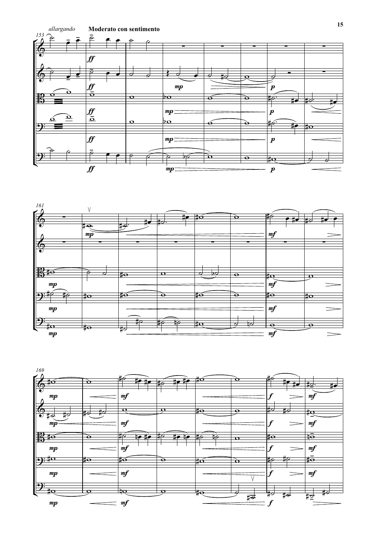